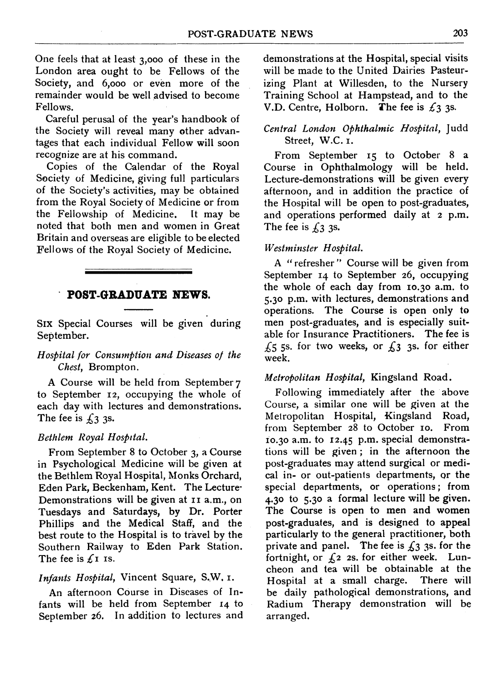One feels that at least 3,000 of these in the London area ought to be Fellows of the Society, and 6,000 or even more of the remainder would be well advised to become Fellows.

Careful perusal of the year's handbook of the Society will reveal many other advantages that each individual Fellow will soon recognize are at his command.

Copies of the Calendar of the Royal Society of Medicine, giving full particulars of the Society's activities, may be obtained from the Royal Society of Medicine or from<br>the Fellowship of Medicine. It may be the Fellowship of Medicine. noted that both men and women in Great Britain and overseas are eligible to be elected Fellows of the Royal Society of Medicine.

### POST-GRADUATE NEWS.

Six Special Courses will be given during September.

# Hospital for Consumption and Diseases of the Chest, Brompton.

A Course will be held from September7 to September 12, occupying the whole of each day with lectures and demonstrations. The fee is  $\sqrt{3}$  3s.

#### Bethlem Royal Hospital.

From September <sup>8</sup> to October 3, <sup>a</sup> Course in Psychological Medicine will be given at the Bethlem Royal Hospital, Monks Orchard, Eden Park, Beckenham, Kent. The Lecture-Demonstrations will be given at II a.m., on Tuesdays and Saturdays, by Dr. Porter Phillips and the Medical Staff, and the best route to the Hospital is to travel by the Southern Railway to Eden Park Station. The fee is  $f_1$  is.

#### Infants Hospital, Vincent Square, S.W. I.

An afternoon Course in Diseases of Infants will be held from September 14 to September 26. In addition to lectures and demonstrations at the Hospital, special visits will be made to the United Dairies Pasteurizing Plant at Willesden, to the Nursery Training School at Hampstead, and to the V.D. Centre, Holborn. The fee is  $\mathcal{L}_3$  3s.

# Central London Ophthalmic Hospital, Judd Street, W.C. I.

From September <sup>15</sup> to October <sup>8</sup> <sup>a</sup> Course in Ophthalmology will be held. Lecture-demonstrations will be given every afternoon, and in addition the practice of the Hospital will be open to post-graduates, and operations performed daily at <sup>2</sup> p.m. The fee is  $f_3$  3s.

#### Westminster Hospital.

A "refresher" Course will be given from September 14 to September 26, occupying the whole of each day from Io.30 a.m. to 5.30 p.m. with lectures, demonstrations and operations. The Course is open only to men post-graduates, and is especially suitable for Insurance Practitioners. The fee is  $£5$  5s. for two weeks, or  $£3$  3s. for either week.

#### Metropolitan Hospital, Kingsland Road.

Following immediately after the above Course, a similar one will be given at the Metropolitan Hospital, Kingsland Road,<br>from September 28 to October 10. From from September 28 to October 10. 10.30 a.m. to 12.45 p.m. special demonstrations will be given; in the afternoon the post-graduates may attend surgical or medical in- or out-patients departments, or the special departments, or operations; from 4.30 to 5.30 <sup>a</sup> formal lecture will be given. The Course is open to men and women post-graduates, and is designed to appeal particularly to the general practitioner, both private and panel. The fee is  $\pounds 3$  3s. for the fortnight, or  $f_2$  2s. for either week. Luncheon and tea will be obtainable at the Hospital at a small charge. There will be daily pathological demonstrations, and Radium Therapy demonstration will be arranged.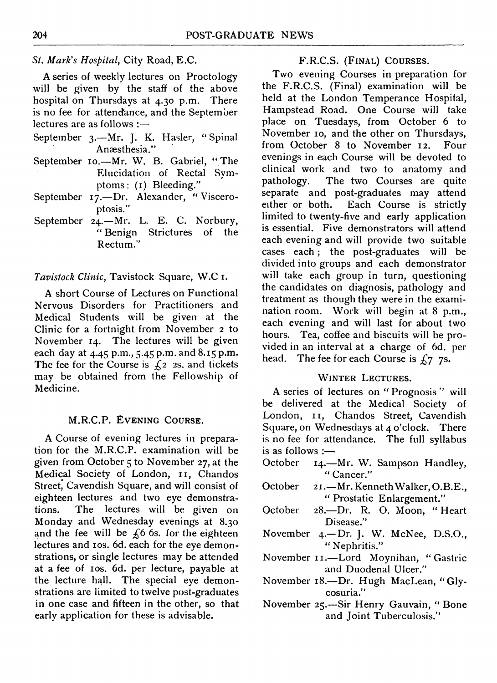# St. Mark's Hospital, City Road, E.C.

A series of weekly lectures on Proctology will be given by the staff of the above<br>hospital on Thursdays at  $4.30$  p.m. There hospital on Thursdays at  $4.30$  p.m. is no fee for attendance, and the September lectures are as follows :-

- September 3.-Mr. J. K. Hasler, "Spinal Anaesthesia."
- September 10.-Mr. W. B. Gabriel, "The Elucidation of Rectal Symptoms: (I) Bleeding."
- September 17.-Dr. Alexander, "Visceroptosis."
- September 24.-Mr. L. E. C. Norbury, "Benign Strictures of the Rectum."

#### Tavistock Clinic, Tavistock Square, W.C.i.

A short Course of Lectures on Functional Nervous Disorders for Practitioners and Medical Students will be given at the Clinic for <sup>a</sup> fortnight from November <sup>2</sup> to November 14. The lectures will be given each day at 4.45 p.m., 5.45 p.m. and 8.I5 p.m. The fee for the Course is  $f_2$  2s. and tickets may be obtained from the Fellowship of Medicine.

### M.R.C.P. EVENING COURSE.

A Course of evening lectures in preparation for the M.R.C.P. examination will be given from October <sup>5</sup> to November 27, at the Medical Society of London, 11, Chandos Street; Cavendish Square, and will consist of eighteen lectures and two eye demonstra-<br>tions. The lectures will be given on The lectures will be given on Monday and Wednesday evenings at 8.30 and the fee will be  $f_6$  6s. for the eighteen lectures and ios. 6d. each for the eye demonstrations, or single lectures may be attended at a fee of ios. 6d. per lecture, payable at the lecture hall. The special eye demonstrations are limited to twelve post-graduates in one case and fifteen in the other, so that early application for these is advisable.

## F.R.C.S. (FINAL) COURSES.

Two evening Courses in preparation for the F.R.C.S. (Final) examination will be held at the London Temperance Hospital, Hampstead Road. One Course will take place on Tuesdays, from October 6 to November 10, and the other on Thursdays,<br>from October 8 to November 12. Four from October 8 to November 12. evenings in each Course will be devoted to clinical work and two to anatomy and<br>pathology. The two Courses are quite The two Courses are quite separate and post-graduates may attend either or both. Each Course is strictly limited to twenty-five and early application is essential. Five demonstrators will attend each evening and will provide two suitable cases each; the post-graduates will be divided into groups and each demonstrator will take each group in turn, questioning the candidates on diagnosis, pathology and treatment as though they were in the examination room. Work will begin at <sup>8</sup> p.m., each evening and will last for about two hours. Tea, coffee and biscuits will be provided in an interval at <sup>a</sup> charge of 6d. per head. The fee for each Course is  $f_7$  7s.

#### WINTER LECTURES.

A series of lectures on "Prognosis" will be delivered at the Medical Society of London, IT, Chandos Street, Cavendish Square, on Wednesdays at 4 <sup>o</sup>'clock. There is no fee for attendance. The full syllabus is as follows :

- October 14.-Mr. W. Sampson Handley, " Cancer."
- October 21.-Mr. Kenneth Walker, O.B.E., " Prostatic Enlargement."
- October 28.-Dr. R. O. Moon, "Heart Disease."
- November 4.-Dr. J. W. McNee, D.S.O., " Nephritis."
- November 11.-Lord Moynihan, "Gastric and Duodenal Ulcer."
- November 18 .- Dr. Hugh MacLean, "Glycosuria."
- November 25.-Sir Henry Gauvain, " Bone and Joint Tuberculosis."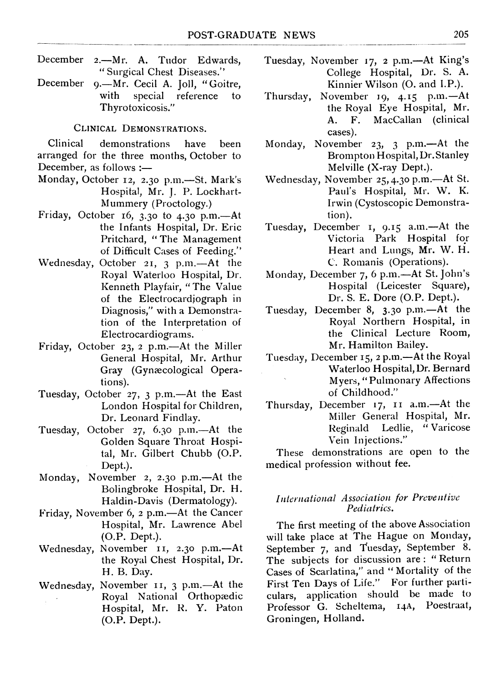- December 2.—Mr. A. Tudor Edwards, "Surgical Chest Diseases."
- December 9.—Mr. Cecil A. Joll, "Goitre,<br>with special reference to special reference Thyrotoxicosis."

## CLINICAL DEMONSTRATIONS.

Clinical demonstrations have been arranged for the three months, October to December, as follows :-

- Monday, October 12, 2.30 p.m.-St. Mark's Hospital, Mr. J. P. Lockhart-Mummery (Proctology.)
- Friday, October 16, 3.30 to 4.30 p.m.- $At$ the Infants Hospital, Dr. Eric Pritchard, "The Management of Difficult Cases of Feeding."
- Wednesday, October 21, 3 p.m.-At the Royal Waterloo Hospital, Dr. Kenneth Playfair, "The Value of the Electrocardiograph in Diagnosis," with a Demonstration of the Interpretation of Electrocardiograms.
- Friday, October 23, 2 p.m.- $At$  the Miller General Hospital, Mr. Arthur Gray (Gynaecological Operations).
- Tuesday, October  $27, 3$  p.m.—At the East London Hospital for Children, Dr. Leonard Findlay.
- Tuesday, October 27, 6.30 p.m.—At the Golden Square Throat Hospital, Mr. Gilbert Chubb (O.P. Dept.).
- Monday, November 2, 2.30 p.m.—At the Bolingbroke Hospital, Dr. H. Haldin-Davis (Dermatology).
- Friday, November 6, 2 p.m.-At the Cancer Hospital, Mr. Lawrence Abel (O.P. Dept.).
- Wednesday, November 11, 2.30 p.m.-At the Royal Chest Hospital, Dr. H. B. Day.
- Wednesday, November 11, 3 p.m.—At the Royal National Orthopaedic Hospital, Mr. R. Y. Paton (O.P. Dept.).
- Tuesday, November 17, 2 p.m.—At King's College Hospital, Dr. S. A. Kinnier Wilson (O. and I.P.).
- Thursday, November 19, 4.15 p.m.-At the Royal Eye Hospital, Mr.<br>A. F. MacCallan (clinical) MacCallan (clinical cases).
- Monday, November 23, 3 p.m.-At the Brompton Hospital, Dr. Stanley Melville (X-ray Dept.).
- Wednesday, November 25, 4.30 p.m.—At St. Paul's Hospital, Mr. W. K. Irwin (Cystoscopic Demonstration).
- Tuesday, December 1, 9.15 a.m.—At the Victoria Park Hospital for Heart and Lungs, Mr. W. H. C. Romanis (Operations).
- Monday, December 7, 6 p.m.-At St. John's Hospital (Leicester Square), Dr. S. E. Dore (O.P. Dept.).
- Tuesday, December 8, 3.30 p.m.-At the Royal Northern Hospital, in the Clinical Lecture Room, Mr. Hamilton Bailey.
- Tuesday, December 15, 2 p.m.-At the Royal Waterloo Hospital, Dr. Bernard Myers, "Pulmonary Affections of Childhood."
- Thursday, December 17, II a.m.-At the Miller General Hospital, Mr. Reginald Ledlie, "Varicose Vein Injections."

These demonstrations are open to the medical profession without fee.

# International Association for Preve ntive Pediatrics.

The first meeting of the above Association will take place at The Hague on Monday, September 7, and Tuesday, September 8. The subjects for discussion are: "Return Cases of Scarlatina," and "Mortality of the First Ten Days of Life." For further particulars, application should be made to Professor G. Scheltema, I4A, Poestraat, Groningen, Holland.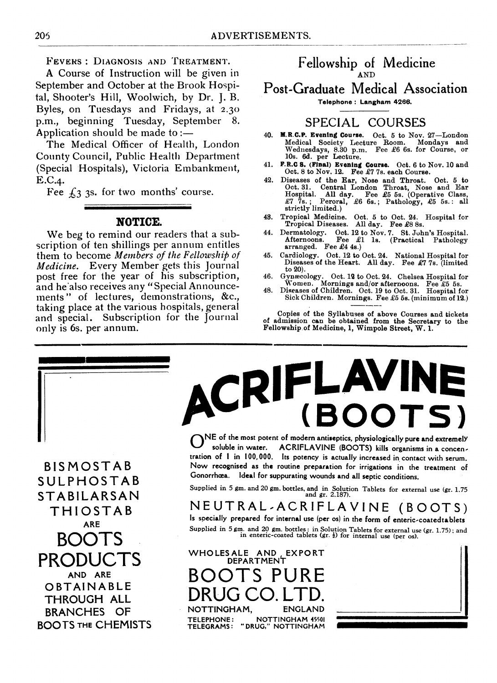FEVERS: DIAGNOSIS AND TREATMENT.

A Course of Instruction will be given in September and October at the Brook Hospital, Shooter's Hill, Woolwich, by Dr. J. B. Byles, on Tuesdays and Fridays, at 2.30 p.m., beginning Tuesday, September 8. Application should be made to: $-$ 

The Medical Officer of Health, London County Council, Public Health Department (Special Hospitals), Victoria Embankmenit, E.C.4.

Fee  $\zeta_3$  3s. for two months' course.

#### NOTICE.

We beg to remind our readers that <sup>a</sup> subscription of ten shillings per annum entitles them to become Members of the Fellowship of Medicine. Every Member gets this Journal post free for the year of his subscription, and he also receives any "Special Announcements " of lectures, demonstrations, &c., taking place at the various hospitals, general and special. Subscription for the Journal only is 6s. per annum.

# **Fellowship of Wedicine** AND

# Post-Graduate Medical Association

Telephone: Langham 4266.

# SPECIAL COURSES

- 40. M.R.C.P. Evening Course. Oct. 5 to Nov. 27-London Medical Society Lecture Room. Mondays and Wedniesdays, 8.30 p.m. Fee £6 6s. for Course, or 10s. 6d. per Lecture.
- 41. F.R.C S. (Final) Evening Course. Oct. 6 to Nov. 10 and Oct. 8 to Nov. 12. Fee £7 7s. each Course.
- 42. Diseases of the Ear, Nose and Throat. Oct. 5 to Oct. 31. Central London Throat, Nose and Ear<br>
Hospital. All day. Fee £5 5s. (Operative Class,<br>  $\pounds 7$  7s.; Peroral, £6 6s.; Pathology, £5 5s.: all strictly limited.)
- 48. Tropical Medicine. Oct. 5 to Oct. 24. Hospital for Tropical Diseases. All day. Fee £8 8s.
- 44. Dermatology. Oct. 12 to Nov. 7. St. Juhn's Hospital. Afternoons. Fee £1 is. (Practical Pathology arranged. Fee £4 4s.)
- 45. Cardiology. Oct. 12 to Oct. 24. National Hospital for Diseases of the Heart. All day. Fee £7 7s. (limited to 20).
- 46. Gynnecology. Oct. 12 to Oct. 24. Chelsea Hospital for Women. Mornings and/or afternoons. Fee £5 5s. 48. Diseases of Children. Oct. 19 to Oct. 31. Hospital for
- Sick Children. Mornings. Fee £5 5s. (minimum of 12.)

Copies of the Syllabuses of above Courses and tickets of admission can be obtained from the Secretary to the Fellowship of Medicine, 1, Wimpole Street, W. 1.

**BOOTS** 

ACRIFLAVINE

 $\boldsymbol{\lambda}$ NE of the most potent of modern antiseptics, physiologically pure and extremelY soluble in water. ACRIFLAVINE (BOOTS) kills organisms in a concentration of <sup>I</sup> in 100,000. Its potency is actually increased in contact with serum. B I S M O S T A B Now recognised as the routine preparation for irrigations in the treatment of SULPH O S T A B Gonorrhœa. Ideal for suppurating wounds and all septic conditions.

SUPPLied in 5 gm. and 20 gm. bottles, and in Solution Tablets for external use (gr. 1.75<br>STABILARSAN and gr. 2.187).

THIOSTAB NEUTRAL,ACRIFLAVINE (BOOTS)<br>ARE Supplied in 5 gm. and 20 gm. bottles: in Solution Tablets for external use (gr. 1.75); and in enteric-coated tablets (gr.  $\frac{1}{2}$ ) for internal use (per os).

PRODUCTS WHOLESALE AND EXPORT PRODUCTS ROOTS PIIRE AND ARE BOOTS PURE OBTAINABLE DUU I J I UNL BRANCHES OF MOTTINGHAM, ENGLAND BOOTS THE CHEMISTS TELEGRAMS: "DRUG," NOTTINGHAM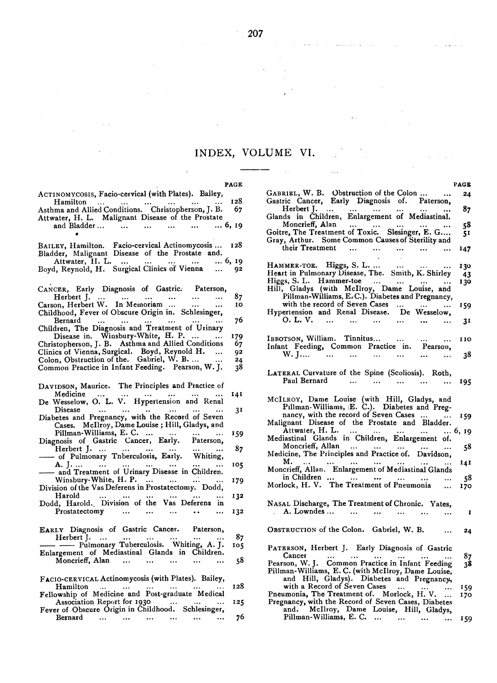# INDEX, VOLUME VI.

 $\sim$   $\sim$ 

PAGE

÷,

 $\ddot{\phantom{a}}$ 

| PAGE                                                                                                   |     |
|--------------------------------------------------------------------------------------------------------|-----|
| ACTINOMYCOSIS, Facio-cervical (with Plates). Bailey,                                                   |     |
| Hamilton<br>$\cdots$<br>$\sim 100$                                                                     | 128 |
| Hamilton<br>Asthma and Allied Conditions. Christopherson, J. B.                                        | 67  |
| Attwater, H. L. Malignant Disease of the Prostate                                                      |     |
| and Bladder      6, 19                                                                                 |     |
|                                                                                                        |     |
|                                                                                                        |     |
| BAILEY, Hamilton. Facio-cervical Actinomycosis                                                         | 128 |
| Bladder, Malignant Disease of the Prostate and.                                                        |     |
| 6, 19                                                                                                  |     |
| Attwater, H. L.<br>Boyd, Reynold, H. Surgical Clinics of Vienna                                        |     |
| $\cdots$                                                                                               | 92  |
|                                                                                                        |     |
| CANCER, Early Diagnosis of Gastric. Paterson,                                                          |     |
| $\mathbf{m} = \mathbf{m}^2 - \mathbf{m}^2$<br>$\sim$                                                   | 87  |
| Herbert J.<br>Carson, Herbert W. In Memoriam                                                           | 10  |
| $\ddotsc$<br>$\cdots$                                                                                  |     |
| Childhood, Fever of Obscure Origin in. Schlesinger,                                                    |     |
| Bernard<br>$\sim$ 1000 $\pm$<br>$\ldots$<br>$\cdots$<br>$\cdots$                                       | 76  |
| Children, The Diagnosis and Treatment of Urinary                                                       |     |
| Disease in. Winsbury-White, H. P.<br>Christopherson, J. B. Asthma and Allied Conditions<br>$\cdots$    | 179 |
|                                                                                                        | 67  |
| Clinics of Vienna, Surgical. Boyd, Reynold H.<br>Colon, Obstruction of the. Gabriel, W. B<br>$\ddotsc$ | 92  |
|                                                                                                        | 24  |
| Common Practice in Infant Feeding. Pearson, W. J.                                                      | 38  |
|                                                                                                        |     |
|                                                                                                        |     |
| DAVIDSON, Maurice. The Principles and Practice of                                                      |     |
|                                                                                                        | 141 |
| De Wesselow, O. L. V. Hypertension and Renal                                                           |     |
| Disease<br>$\ldots$<br>$\cdots$<br>$\cdots$                                                            | 31  |
| Diabetes and Pregnancy, with the Record of Seven                                                       |     |
| Cases. McIlroy, Dame Louise; Hill, Gladys, and                                                         |     |
|                                                                                                        | 159 |
| Fillman-Williams, E. C.<br>Diagnosis of Gastric Cancer, Early. Paterson,                               |     |
|                                                                                                        | 87  |
| Herbert J.<br>- of Pulmonary Tnberculosis, Early. Whiting, A. J.                                       |     |
|                                                                                                        |     |
|                                                                                                        | 105 |
| - and Treatment of Urinary Disease in Children.                                                        |     |
| Winsbury-White, $H. P.$                                                                                | 179 |
| Division of the Vas Deferens in Prostatectomy. Dodd,                                                   |     |
| Harold<br>$\cdots$<br>$\ldots$ .<br>$\cdots$                                                           | 132 |
| Dodd, Harold. Division of the Vas Deferens in                                                          |     |
| Prostatectomy<br>$\cdots$<br><br>$\cdots$                                                              | 132 |
|                                                                                                        |     |
| EARLY Diagnosis of Gastric Cancer. Paterson,                                                           |     |
|                                                                                                        | 87  |
| Herbert J.<br>$\sim$ 100 $\pm$<br>$\ldots$<br>$\cdots$<br>- Pulmonary Tuberculosis. Whiting, A. J.     |     |
|                                                                                                        | 105 |
| Enlargement of Mediastinal Glands in Children.                                                         |     |
| Moncrieff, Alan<br>and the state of the state<br>$\cdots$                                              | 58  |
|                                                                                                        |     |
| FACIO-CERVICAL Actinomycosis (with Plates). Bailey,                                                    |     |
| Hamilton                                                                                               | 128 |
| Fellowship of Medicine and Post-graduate Medical                                                       |     |
| Association Report for 1930                                                                            | 125 |
| Fever of Obscure Origin in Childhood. Schlesinger,                                                     |     |
| Bernard<br>$\cdots$ $\cdots$ $\cdots$ $\cdots$<br>$\cdots$ $\cdots$                                    | 76  |

 $\bar{L}$  ,  $\bar{L}$ 

 $\ddot{\phantom{a}}$ 

|                                                                                                                                                        | <b>PAGE</b>    |
|--------------------------------------------------------------------------------------------------------------------------------------------------------|----------------|
|                                                                                                                                                        | 24             |
| GABRIEL, W. B. Obstruction of the Colon<br>Gastric Cancer, Early Diagnosis of. Paterson, Herbert J.<br>Glands in Children, Enlargement of Mediastinal. | 87             |
| Moncrieff, Alan  "<br>Goitre, The Treatment of Toxic. Slesinger, E. G<br>Gray, Arthur. Some Common Causes of Sterility and                             | 58<br>51       |
| their Treatment<br>$\sim$                                                                                                                              | 147            |
| HAMMER-TOE. Higgs, S. L.<br>Heart in Pulmonary Disease, The. Smith, K. Shirley<br>Higgs, S. J. Hammer to:                                              | 130            |
| Higgs, S. L. Hammer-toe<br>Hill, Gladys (with McIlroy, Dame Louise, and                                                                                | -43<br>130     |
| Pillman-Williams, E.C.). Diabetes and Pregnancy,<br>with the record of Seven Cases<br>Hypertension and Renal Disease. De Wesselow,                     | 159            |
| $0. L. V.$<br>$\sim 1000$ km $^{-1}$<br><b>Contract Contract Contract</b>                                                                              | 31             |
| IBBOTSON, William. Tinnitus    110<br>Infant Feeding, Common Practice in. Pearson, W. J      38                                                        |                |
|                                                                                                                                                        |                |
| LATERAL Curvature of the Spine (Scoliosis). Roth,<br>Paul Bernard                                                                                      | - 195          |
| McILROY, Dame Louise (with Hill, Gladys, and Pillman-Williams, E. C.). Diabetes and Preg-                                                              |                |
| nancy, with the record of Seven Cases                                                                                                                  | 159            |
| Attwater, H. L.      6, 19<br>Mediastinal Glands in Children, Enlargement of.                                                                          |                |
|                                                                                                                                                        | 58             |
| M. M. Monteff, Allan. Enlargement of Mediastinal Glands                                                                                                | 141<br>- 58    |
| in Children          Morlock, H. V. The Treatment of Pneumonia                                                                                         | 170            |
| NASAL Discharge, The Treatment of Chronic. Yates.<br>A. Lowndes                                                                                        | $\blacksquare$ |
| OBSTRUCTION of the Colon. Gabriel, W. B.<br>$\sim$ $\sim$                                                                                              | 24             |
| PATERSON, Herbert J. Early Diagnosis of Gastric<br>Cancer<br>$\cdots$                                                                                  | 87             |
| Pearson, W. J. Common Practice in Infant Feeding<br>Pillman-Williams, E. C. (with McIlroy, Dame Louise,<br>and Hill, Gladys). Diabetes and Pregnancy,  | 38             |
| with a Record of Seven Cases<br>with a Record of Seven Cases<br>Pneumonia, The Treatment of. Morlock, H. V.                                            | 159            |
| Pregnancy, with the Record of Seven Cases, Diabetes<br>and. McIlroy, Dame Louise, Hill, Gladys,                                                        | 170            |
| Pillman-Williams, E. C.<br>$\ddotsc$                                                                                                                   | 159            |

 $\bar{\mathcal{L}}$  .

 $\frac{1}{2}$  ,  $\frac{1}{2}$  ,  $\frac{1}{2}$  ,  $\frac{1}{2}$  ,  $\frac{1}{2}$  ,  $\frac{1}{2}$  ,  $\frac{1}{2}$  ,  $\frac{1}{2}$  ,  $\frac{1}{2}$  ,  $\frac{1}{2}$  ,  $\frac{1}{2}$  ,  $\frac{1}{2}$  ,  $\frac{1}{2}$  ,  $\frac{1}{2}$  ,  $\frac{1}{2}$  ,  $\frac{1}{2}$  ,  $\frac{1}{2}$  ,  $\frac{1}{2}$  ,  $\frac{1$ 

 $\sim 100$  km  $^{-1}$ 

 $\ddot{\phantom{a}}$